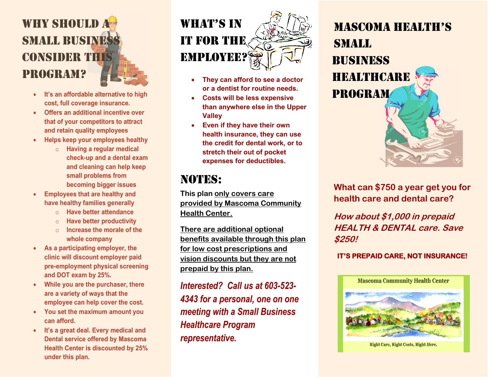# WHY SHOULD A **SMALL BUSINES** consider this program?

- **It's an affordable alternative to high cost, full coverage insurance.**
- **Offers an additional incentive over that of your competitors to attract and retain quality employees**
- **Helps keep your employees healthy**
	- o **Having a regular medical check-up and a dental exam and cleaning can help keep small problems from becoming bigger issues**
- **Employees that are healthy and have healthy families generally**
	- o **Have better attendance**
	- o **Have better productivity**
	- o **Increase the morale of the whole company**
- **As a participating employer, the clinic will discount employer paid pre-employment physical screening and DOT exam by 25%.**
- **While you are the purchaser, there are a variety of ways that the employee can help cover the cost.**
- **You set the maximum amount you can afford.**
- **It's a great deal. Every medical and Dental service offered by Mascoma Health Center is discounted by 25% under this plan.**



- **They can afford to see a doctor or a dentist for routine needs.**
- **Costs will be less expensive than anywhere else in the Upper Valley**
- **Even if they have their own health insurance, they can use the credit for dental work, or to stretch their out of pocket expenses for deductibles.**

## NOTES:

**This plan only covers care provided by Mascoma Community Health Center.** 

**There are additional optional benefits available through this plan for low cost prescriptions and vision discounts but they are not prepaid by this plan.**

*Interested? Call us at 603-523- 4343 for a personal, one on one meeting with a Small Business Healthcare Program representative.*

Mascoma Health's Small **BUSINESS HEALTHCARE** Program

**What can \$750 a year get you for health care and dental care?** 

**How about \$1,000 in prepaid HEALTH & DENTAL care. Save \$250!**

## **IT'S PREPAID CARE, NOT INSURANCE!**



**Right Care, Right Costs, Right Here.**